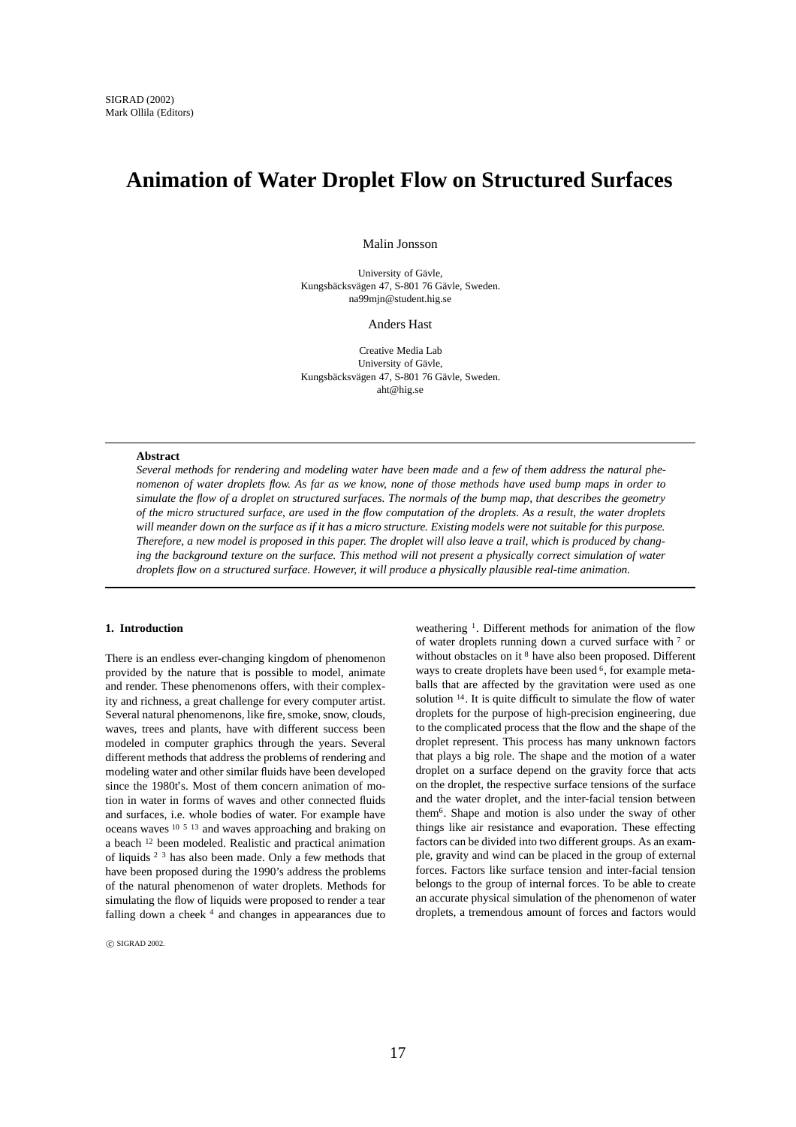# **Animation of Water Droplet Flow on Structured Surfaces**

Malin Jonsson

University of Gävle, Kungsbäcksvägen 47, S-801 76 Gävle, Sweden. na99mjn@student.hig.se

Anders Hast

Creative Media Lab University of Gävle, Kungsbäcksvägen 47, S-801 76 Gävle, Sweden. aht@hig.se

#### **Abstract**

*Several methods for rendering and modeling water have been made and a few of them address the natural phenomenon of water droplets flow. As far as we know, none of those methods have used bump maps in order to simulate the flow of a droplet on structured surfaces. The normals of the bump map, that describes the geometry of the micro structured surface, are used in the flow computation of the droplets. As a result, the water droplets will meander down on the surface as if it has a micro structure. Existing models were not suitable for this purpose. Therefore, a new model is proposed in this paper. The droplet will also leave a trail, which is produced by changing the background texture on the surface. This method will not present a physically correct simulation of water droplets flow on a structured surface. However, it will produce a physically plausible real-time animation.*

# **1. Introduction**

There is an endless ever-changing kingdom of phenomenon provided by the nature that is possible to model, animate and render. These phenomenons offers, with their complexity and richness, a great challenge for every computer artist. Several natural phenomenons, like fire, smoke, snow, clouds, waves, trees and plants, have with different success been modeled in computer graphics through the years. Several different methods that address the problems of rendering and modeling water and other similar fluids have been developed since the 1980t's. Most of them concern animation of motion in water in forms of waves and other connected fluids and surfaces, i.e. whole bodies of water. For example have oceans waves 10 5 13 and waves approaching and braking on a beach <sup>12</sup> been modeled. Realistic and practical animation of liquids 2 3 has also been made. Only a few methods that have been proposed during the 1990's address the problems of the natural phenomenon of water droplets. Methods for simulating the flow of liquids were proposed to render a tear falling down a cheek <sup>4</sup> and changes in appearances due to

 $\circledcirc$  SIGRAD 2002.

weathering <sup>1</sup>. Different methods for animation of the flow of water droplets running down a curved surface with <sup>7</sup> or without obstacles on it <sup>8</sup> have also been proposed. Different ways to create droplets have been used <sup>6</sup>, for example metaballs that are affected by the gravitation were used as one solution 14. It is quite difficult to simulate the flow of water droplets for the purpose of high-precision engineering, due to the complicated process that the flow and the shape of the droplet represent. This process has many unknown factors that plays a big role. The shape and the motion of a water droplet on a surface depend on the gravity force that acts on the droplet, the respective surface tensions of the surface and the water droplet, and the inter-facial tension between them6. Shape and motion is also under the sway of other things like air resistance and evaporation. These effecting factors can be divided into two different groups. As an example, gravity and wind can be placed in the group of external forces. Factors like surface tension and inter-facial tension belongs to the group of internal forces. To be able to create an accurate physical simulation of the phenomenon of water droplets, a tremendous amount of forces and factors would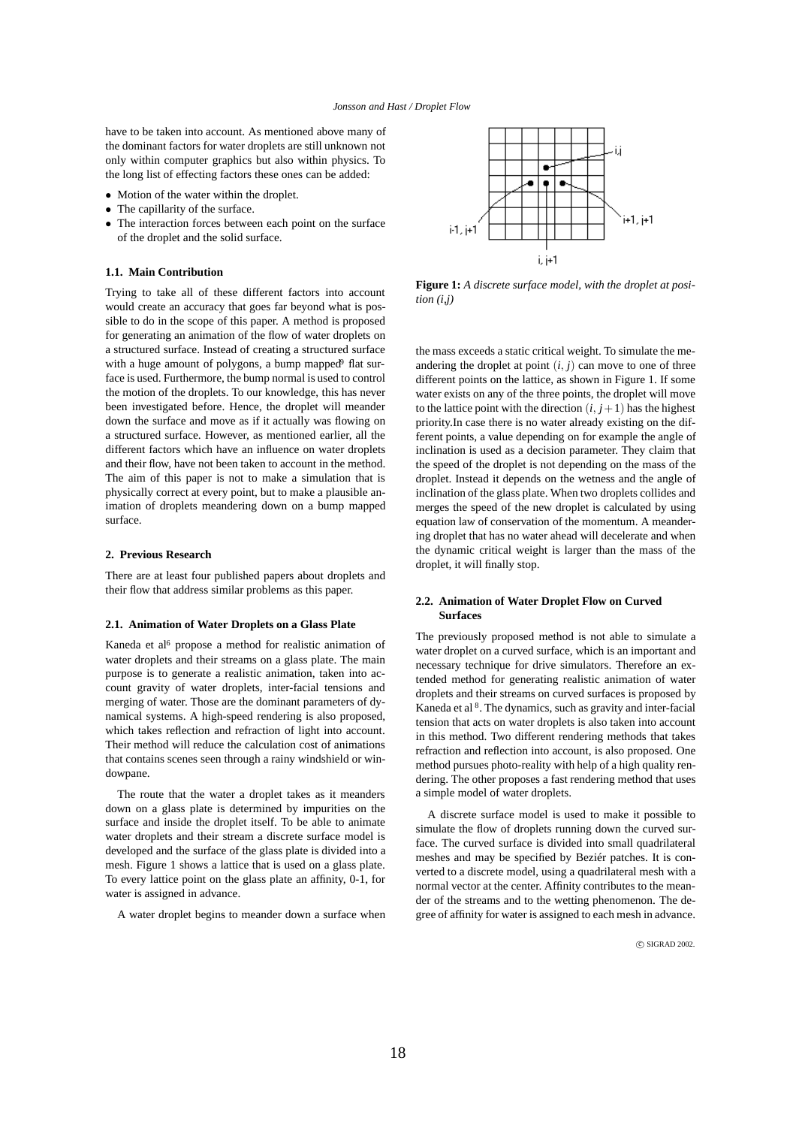have to be taken into account. As mentioned above many of the dominant factors for water droplets are still unknown not only within computer graphics but also within physics. To the long list of effecting factors these ones can be added:

- Motion of the water within the droplet.
- The capillarity of the surface.
- The interaction forces between each point on the surface of the droplet and the solid surface.

# **1.1. Main Contribution**

Trying to take all of these different factors into account would create an accuracy that goes far beyond what is possible to do in the scope of this paper. A method is proposed for generating an animation of the flow of water droplets on a structured surface. Instead of creating a structured surface with a huge amount of polygons, a bump mapped<sup>9</sup> flat surface is used. Furthermore, the bump normal is used to control the motion of the droplets. To our knowledge, this has never been investigated before. Hence, the droplet will meander down the surface and move as if it actually was flowing on a structured surface. However, as mentioned earlier, all the different factors which have an influence on water droplets and their flow, have not been taken to account in the method. The aim of this paper is not to make a simulation that is physically correct at every point, but to make a plausible animation of droplets meandering down on a bump mapped surface.

## **2. Previous Research**

There are at least four published papers about droplets and their flow that address similar problems as this paper.

## **2.1. Animation of Water Droplets on a Glass Plate**

Kaneda et al<sup>6</sup> propose a method for realistic animation of water droplets and their streams on a glass plate. The main purpose is to generate a realistic animation, taken into account gravity of water droplets, inter-facial tensions and merging of water. Those are the dominant parameters of dynamical systems. A high-speed rendering is also proposed, which takes reflection and refraction of light into account. Their method will reduce the calculation cost of animations that contains scenes seen through a rainy windshield or windowpane.

The route that the water a droplet takes as it meanders down on a glass plate is determined by impurities on the surface and inside the droplet itself. To be able to animate water droplets and their stream a discrete surface model is developed and the surface of the glass plate is divided into a mesh. Figure 1 shows a lattice that is used on a glass plate. To every lattice point on the glass plate an affinity, 0-1, for water is assigned in advance.

A water droplet begins to meander down a surface when



**Figure 1:** *A discrete surface model, with the droplet at position (i,j)*

the mass exceeds a static critical weight. To simulate the meandering the droplet at point  $(i, j)$  can move to one of three different points on the lattice, as shown in Figure 1. If some water exists on any of the three points, the droplet will move to the lattice point with the direction  $(i, j+1)$  has the highest priority.In case there is no water already existing on the different points, a value depending on for example the angle of inclination is used as a decision parameter. They claim that the speed of the droplet is not depending on the mass of the droplet. Instead it depends on the wetness and the angle of inclination of the glass plate. When two droplets collides and merges the speed of the new droplet is calculated by using equation law of conservation of the momentum. A meandering droplet that has no water ahead will decelerate and when the dynamic critical weight is larger than the mass of the droplet, it will finally stop.

# **2.2. Animation of Water Droplet Flow on Curved Surfaces**

The previously proposed method is not able to simulate a water droplet on a curved surface, which is an important and necessary technique for drive simulators. Therefore an extended method for generating realistic animation of water droplets and their streams on curved surfaces is proposed by Kaneda et al 8. The dynamics, such as gravity and inter-facial tension that acts on water droplets is also taken into account in this method. Two different rendering methods that takes refraction and reflection into account, is also proposed. One method pursues photo-reality with help of a high quality rendering. The other proposes a fast rendering method that uses a simple model of water droplets.

A discrete surface model is used to make it possible to simulate the flow of droplets running down the curved surface. The curved surface is divided into small quadrilateral meshes and may be specified by Beziér patches. It is converted to a discrete model, using a quadrilateral mesh with a normal vector at the center. Affinity contributes to the meander of the streams and to the wetting phenomenon. The degree of affinity for water is assigned to each mesh in advance.

 $\odot$  SIGRAD 2002.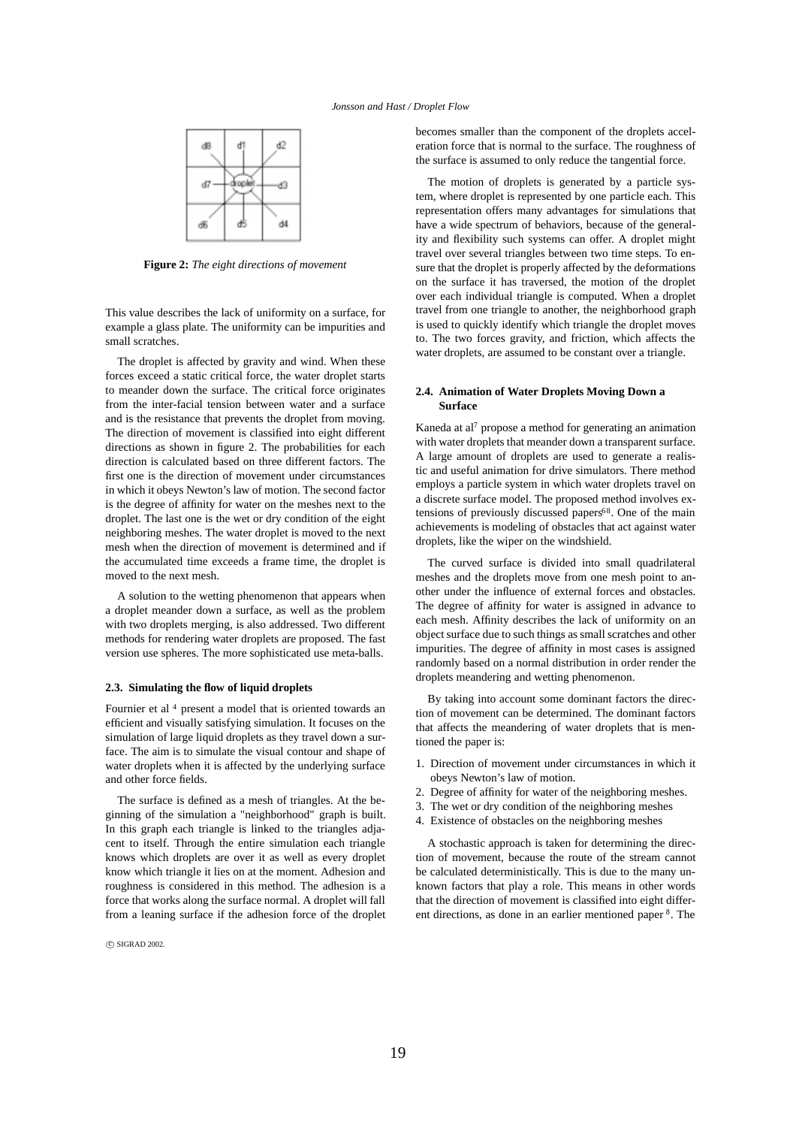

**Figure 2:** *The eight directions of movement*

This value describes the lack of uniformity on a surface, for example a glass plate. The uniformity can be impurities and small scratches.

The droplet is affected by gravity and wind. When these forces exceed a static critical force, the water droplet starts to meander down the surface. The critical force originates from the inter-facial tension between water and a surface and is the resistance that prevents the droplet from moving. The direction of movement is classified into eight different directions as shown in figure 2. The probabilities for each direction is calculated based on three different factors. The first one is the direction of movement under circumstances in which it obeys Newton's law of motion. The second factor is the degree of affinity for water on the meshes next to the droplet. The last one is the wet or dry condition of the eight neighboring meshes. The water droplet is moved to the next mesh when the direction of movement is determined and if the accumulated time exceeds a frame time, the droplet is moved to the next mesh.

A solution to the wetting phenomenon that appears when a droplet meander down a surface, as well as the problem with two droplets merging, is also addressed. Two different methods for rendering water droplets are proposed. The fast version use spheres. The more sophisticated use meta-balls.

## **2.3. Simulating the flow of liquid droplets**

Fournier et al<sup>4</sup> present a model that is oriented towards an efficient and visually satisfying simulation. It focuses on the simulation of large liquid droplets as they travel down a surface. The aim is to simulate the visual contour and shape of water droplets when it is affected by the underlying surface and other force fields.

The surface is defined as a mesh of triangles. At the beginning of the simulation a "neighborhood" graph is built. In this graph each triangle is linked to the triangles adjacent to itself. Through the entire simulation each triangle knows which droplets are over it as well as every droplet know which triangle it lies on at the moment. Adhesion and roughness is considered in this method. The adhesion is a force that works along the surface normal. A droplet will fall from a leaning surface if the adhesion force of the droplet

 $\odot$  SIGRAD 2002.

becomes smaller than the component of the droplets acceleration force that is normal to the surface. The roughness of the surface is assumed to only reduce the tangential force.

The motion of droplets is generated by a particle system, where droplet is represented by one particle each. This representation offers many advantages for simulations that have a wide spectrum of behaviors, because of the generality and flexibility such systems can offer. A droplet might travel over several triangles between two time steps. To ensure that the droplet is properly affected by the deformations on the surface it has traversed, the motion of the droplet over each individual triangle is computed. When a droplet travel from one triangle to another, the neighborhood graph is used to quickly identify which triangle the droplet moves to. The two forces gravity, and friction, which affects the water droplets, are assumed to be constant over a triangle.

## **2.4. Animation of Water Droplets Moving Down a Surface**

Kaneda at al<sup>7</sup> propose a method for generating an animation with water droplets that meander down a transparent surface. A large amount of droplets are used to generate a realistic and useful animation for drive simulators. There method employs a particle system in which water droplets travel on a discrete surface model. The proposed method involves extensions of previously discussed papers<sup>68</sup>. One of the main achievements is modeling of obstacles that act against water droplets, like the wiper on the windshield.

The curved surface is divided into small quadrilateral meshes and the droplets move from one mesh point to another under the influence of external forces and obstacles. The degree of affinity for water is assigned in advance to each mesh. Affinity describes the lack of uniformity on an object surface due to such things as small scratches and other impurities. The degree of affinity in most cases is assigned randomly based on a normal distribution in order render the droplets meandering and wetting phenomenon.

By taking into account some dominant factors the direction of movement can be determined. The dominant factors that affects the meandering of water droplets that is mentioned the paper is:

- 1. Direction of movement under circumstances in which it obeys Newton's law of motion.
- 2. Degree of affinity for water of the neighboring meshes.
- 3. The wet or dry condition of the neighboring meshes
- 4. Existence of obstacles on the neighboring meshes

A stochastic approach is taken for determining the direction of movement, because the route of the stream cannot be calculated deterministically. This is due to the many unknown factors that play a role. This means in other words that the direction of movement is classified into eight different directions, as done in an earlier mentioned paper 8. The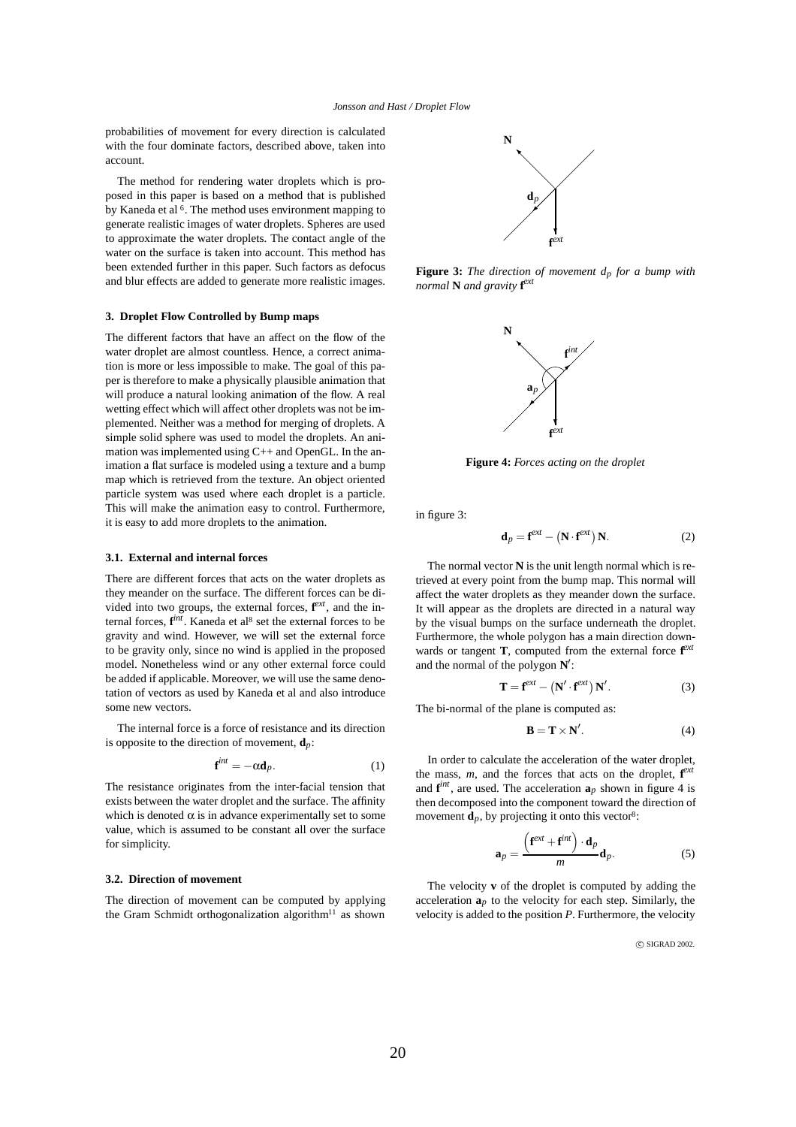probabilities of movement for every direction is calculated with the four dominate factors, described above, taken into account.

The method for rendering water droplets which is proposed in this paper is based on a method that is published by Kaneda et al <sup>6</sup>. The method uses environment mapping to generate realistic images of water droplets. Spheres are used to approximate the water droplets. The contact angle of the water on the surface is taken into account. This method has been extended further in this paper. Such factors as defocus and blur effects are added to generate more realistic images.

# **3. Droplet Flow Controlled by Bump maps**

The different factors that have an affect on the flow of the water droplet are almost countless. Hence, a correct animation is more or less impossible to make. The goal of this paper is therefore to make a physically plausible animation that will produce a natural looking animation of the flow. A real wetting effect which will affect other droplets was not be implemented. Neither was a method for merging of droplets. A simple solid sphere was used to model the droplets. An animation was implemented using C++ and OpenGL. In the animation a flat surface is modeled using a texture and a bump map which is retrieved from the texture. An object oriented particle system was used where each droplet is a particle. This will make the animation easy to control. Furthermore, it is easy to add more droplets to the animation.

#### **3.1. External and internal forces**

There are different forces that acts on the water droplets as they meander on the surface. The different forces can be divided into two groups, the external forces, **f** *ext*, and the internal forces,  $f^{int}$ . Kaneda et al<sup>8</sup> set the external forces to be gravity and wind. However, we will set the external force to be gravity only, since no wind is applied in the proposed model. Nonetheless wind or any other external force could be added if applicable. Moreover, we will use the same denotation of vectors as used by Kaneda et al and also introduce some new vectors.

The internal force is a force of resistance and its direction is opposite to the direction of movement,  $\mathbf{d}_p$ :

$$
\mathbf{f}^{int} = -\alpha \mathbf{d}_p. \tag{1}
$$

The resistance originates from the inter-facial tension that exists between the water droplet and the surface. The affinity which is denoted  $\alpha$  is in advance experimentally set to some value, which is assumed to be constant all over the surface for simplicity.

#### **3.2. Direction of movement**

The direction of movement can be computed by applying the Gram Schmidt orthogonalization algorithm<sup>11</sup> as shown



**Figure 3:** *The direction of movement dp for a bump with normal* **N** *and gravity* **f** *ext*



**Figure 4:** *Forces acting on the droplet*

in figure 3:

$$
\mathbf{d}_p = \mathbf{f}^{ext} - \left(\mathbf{N} \cdot \mathbf{f}^{ext}\right) \mathbf{N}.\tag{2}
$$

The normal vector **N** is the unit length normal which is retrieved at every point from the bump map. This normal will affect the water droplets as they meander down the surface. It will appear as the droplets are directed in a natural way by the visual bumps on the surface underneath the droplet. Furthermore, the whole polygon has a main direction downwards or tangent **T**, computed from the external force **f** *ext* and the normal of the polygon **N** :

$$
\mathbf{T} = \mathbf{f}^{ext} - \left(\mathbf{N}' \cdot \mathbf{f}^{ext}\right) \mathbf{N}'.
$$
 (3)

The bi-normal of the plane is computed as:

$$
\mathbf{B} = \mathbf{T} \times \mathbf{N}'.\tag{4}
$$

In order to calculate the acceleration of the water droplet, the mass, *m*, and the forces that acts on the droplet, **f** *ext* and  $f^{int}$ , are used. The acceleration  $a_p$  shown in figure 4 is then decomposed into the component toward the direction of movement  $\mathbf{d}_p$ , by projecting it onto this vector<sup>8</sup>:

$$
\mathbf{a}_p = \frac{\left(\mathbf{f}^{ext} + \mathbf{f}^{int}\right) \cdot \mathbf{d}_p}{m} \mathbf{d}_p.
$$
 (5)

The velocity **v** of the droplet is computed by adding the acceleration  $a_p$  to the velocity for each step. Similarly, the velocity is added to the position *P*. Furthermore, the velocity

 $\circ$  SIGRAD 2002.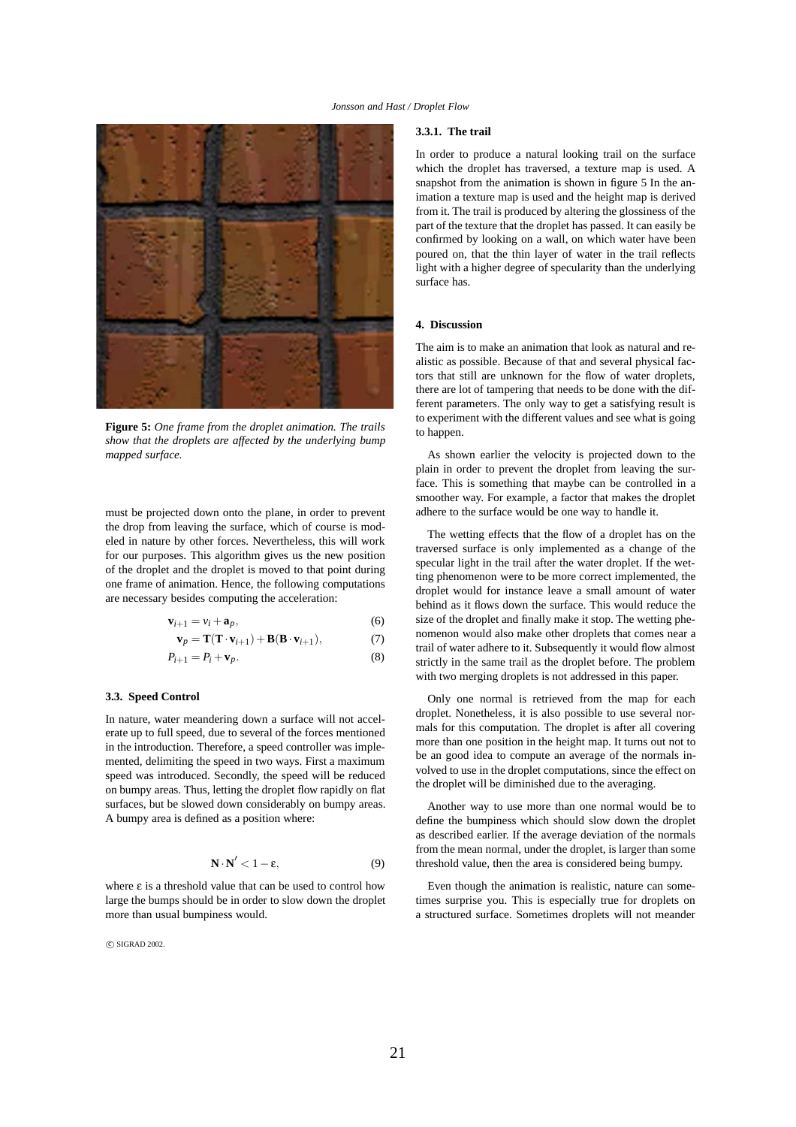

**Figure 5:** *One frame from the droplet animation. The trails show that the droplets are affected by the underlying bump mapped surface.*

must be projected down onto the plane, in order to prevent the drop from leaving the surface, which of course is modeled in nature by other forces. Nevertheless, this will work for our purposes. This algorithm gives us the new position of the droplet and the droplet is moved to that point during one frame of animation. Hence, the following computations are necessary besides computing the acceleration:

$$
\mathbf{v}_{i+1} = v_i + \mathbf{a}_p,\tag{6}
$$

$$
\mathbf{v}_p = \mathbf{T}(\mathbf{T} \cdot \mathbf{v}_{i+1}) + \mathbf{B}(\mathbf{B} \cdot \mathbf{v}_{i+1}), \tag{7}
$$

$$
P_{i+1} = P_i + \mathbf{v}_p. \tag{8}
$$

# **3.3. Speed Control**

In nature, water meandering down a surface will not accelerate up to full speed, due to several of the forces mentioned in the introduction. Therefore, a speed controller was implemented, delimiting the speed in two ways. First a maximum speed was introduced. Secondly, the speed will be reduced on bumpy areas. Thus, letting the droplet flow rapidly on flat surfaces, but be slowed down considerably on bumpy areas. A bumpy area is defined as a position where:

$$
\mathbf{N} \cdot \mathbf{N}' < 1 - \varepsilon,\tag{9}
$$

where  $\varepsilon$  is a threshold value that can be used to control how large the bumps should be in order to slow down the droplet more than usual bumpiness would.

 $\circ$  SIGRAD 2002.

#### **3.3.1. The trail**

In order to produce a natural looking trail on the surface which the droplet has traversed, a texture map is used. A snapshot from the animation is shown in figure 5 In the animation a texture map is used and the height map is derived from it. The trail is produced by altering the glossiness of the part of the texture that the droplet has passed. It can easily be confirmed by looking on a wall, on which water have been poured on, that the thin layer of water in the trail reflects light with a higher degree of specularity than the underlying surface has.

## **4. Discussion**

The aim is to make an animation that look as natural and realistic as possible. Because of that and several physical factors that still are unknown for the flow of water droplets, there are lot of tampering that needs to be done with the different parameters. The only way to get a satisfying result is to experiment with the different values and see what is going to happen.

As shown earlier the velocity is projected down to the plain in order to prevent the droplet from leaving the surface. This is something that maybe can be controlled in a smoother way. For example, a factor that makes the droplet adhere to the surface would be one way to handle it.

The wetting effects that the flow of a droplet has on the traversed surface is only implemented as a change of the specular light in the trail after the water droplet. If the wetting phenomenon were to be more correct implemented, the droplet would for instance leave a small amount of water behind as it flows down the surface. This would reduce the size of the droplet and finally make it stop. The wetting phenomenon would also make other droplets that comes near a trail of water adhere to it. Subsequently it would flow almost strictly in the same trail as the droplet before. The problem with two merging droplets is not addressed in this paper.

Only one normal is retrieved from the map for each droplet. Nonetheless, it is also possible to use several normals for this computation. The droplet is after all covering more than one position in the height map. It turns out not to be an good idea to compute an average of the normals involved to use in the droplet computations, since the effect on the droplet will be diminished due to the averaging.

Another way to use more than one normal would be to define the bumpiness which should slow down the droplet as described earlier. If the average deviation of the normals from the mean normal, under the droplet, is larger than some threshold value, then the area is considered being bumpy.

Even though the animation is realistic, nature can sometimes surprise you. This is especially true for droplets on a structured surface. Sometimes droplets will not meander